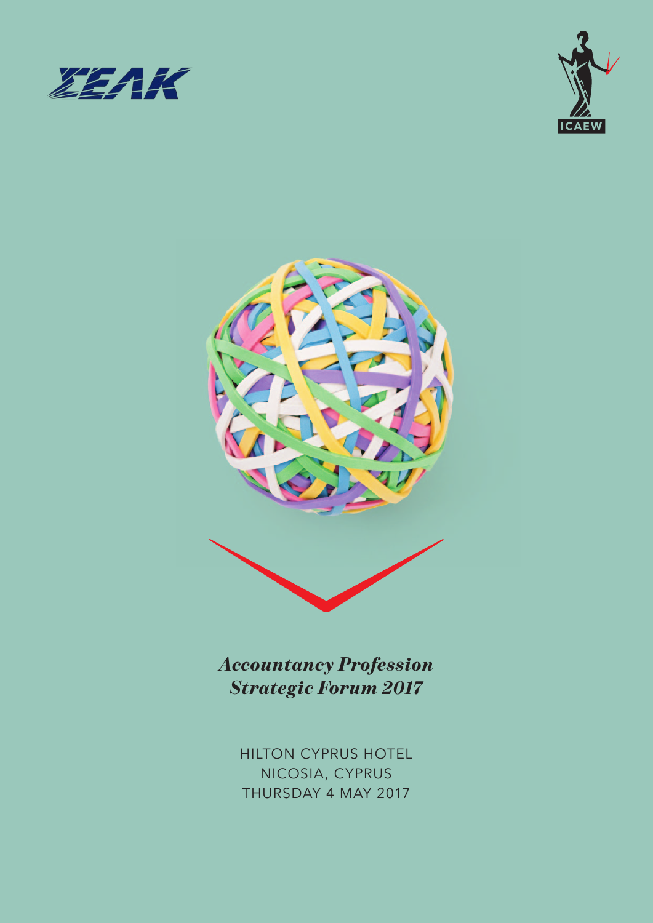





*Accountancy Profession Strategic Forum 2017*

> HILTON CYPRUS HOTEL NICOSIA, CYPRUS THURSDAY 4 MAY 2017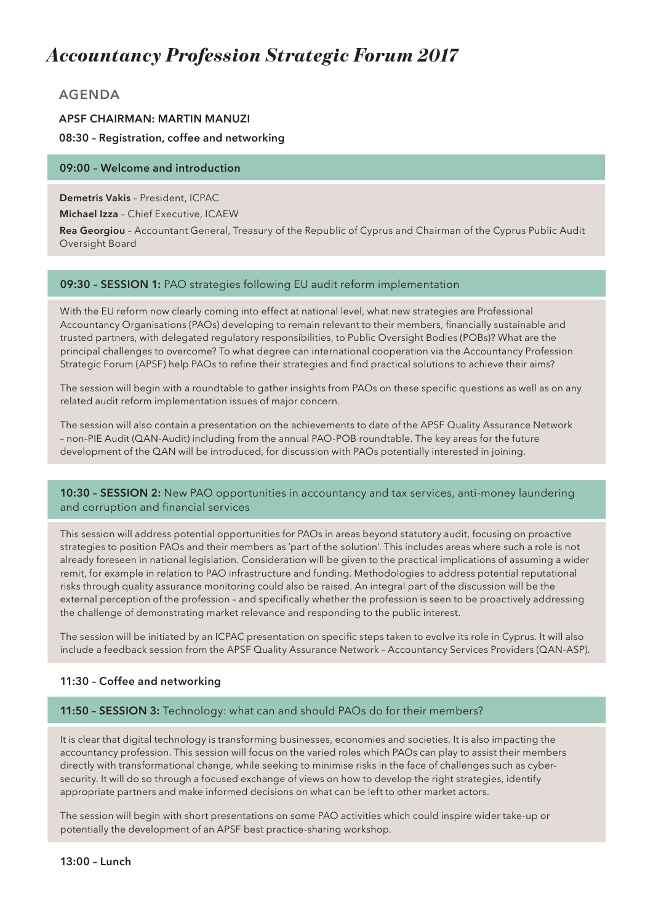# *Accountancy Profession Strategic Forum 2017*

# **AGENDA**

# **APSF CHAIRMAN: MARTIN MANUZI 08:30 – Registration, coffee and networking**

# **09:00 – Welcome and introduction**

**Demetris Vakis** – President, ICPAC

**Michael Izza** – Chief Executive, ICAEW

**Rea Georgiou** – Accountant General, Treasury of the Republic of Cyprus and Chairman of the Cyprus Public Audit Oversight Board

# **09:30 – SESSION 1:** PAO strategies following EU audit reform implementation

With the EU reform now clearly coming into effect at national level, what new strategies are Professional Accountancy Organisations (PAOs) developing to remain relevant to their members, financially sustainable and trusted partners, with delegated regulatory responsibilities, to Public Oversight Bodies (POBs)? What are the principal challenges to overcome? To what degree can international cooperation via the Accountancy Profession Strategic Forum (APSF) help PAOs to refine their strategies and find practical solutions to achieve their aims?

The session will begin with a roundtable to gather insights from PAOs on these specific questions as well as on any related audit reform implementation issues of major concern.

The session will also contain a presentation on the achievements to date of the APSF Quality Assurance Network – non-PIE Audit (QAN-Audit) including from the annual PAO-POB roundtable. The key areas for the future development of the QAN will be introduced, for discussion with PAOs potentially interested in joining.

### **10:30 – SESSION 2:** New PAO opportunities in accountancy and tax services, anti-money laundering and corruption and financial services

This session will address potential opportunities for PAOs in areas beyond statutory audit, focusing on proactive strategies to position PAOs and their members as 'part of the solution'. This includes areas where such a role is not already foreseen in national legislation. Consideration will be given to the practical implications of assuming a wider remit, for example in relation to PAO infrastructure and funding. Methodologies to address potential reputational risks through quality assurance monitoring could also be raised. An integral part of the discussion will be the external perception of the profession – and specifically whether the profession is seen to be proactively addressing the challenge of demonstrating market relevance and responding to the public interest.

The session will be initiated by an ICPAC presentation on specific steps taken to evolve its role in Cyprus. It will also include a feedback session from the APSF Quality Assurance Network – Accountancy Services Providers (QAN-ASP).

### **11:30 – Coffee and networking**

### **11:50 – SESSION 3:** Technology: what can and should PAOs do for their members?

It is clear that digital technology is transforming businesses, economies and societies. It is also impacting the accountancy profession. This session will focus on the varied roles which PAOs can play to assist their members directly with transformational change, while seeking to minimise risks in the face of challenges such as cybersecurity. It will do so through a focused exchange of views on how to develop the right strategies, identify appropriate partners and make informed decisions on what can be left to other market actors.

The session will begin with short presentations on some PAO activities which could inspire wider take-up or potentially the development of an APSF best practice-sharing workshop.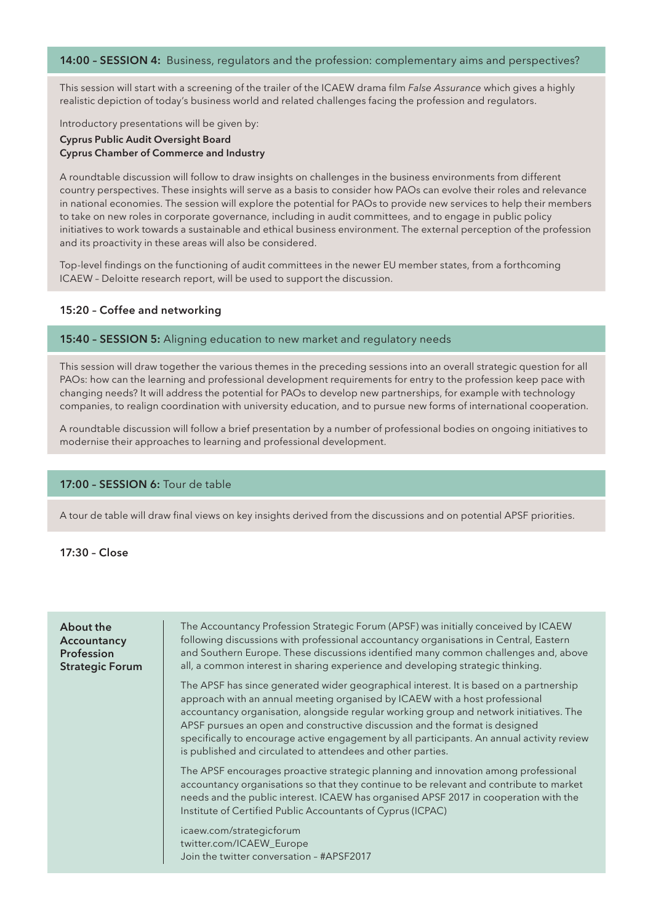#### **14:00 – SESSION 4:** Business, regulators and the profession: complementary aims and perspectives?

This session will start with a screening of the trailer of the ICAEW drama film *False Assurance* which gives a highly realistic depiction of today's business world and related challenges facing the profession and regulators.

Introductory presentations will be given by:

#### **Cyprus Public Audit Oversight Board Cyprus Chamber of Commerce and Industry**

A roundtable discussion will follow to draw insights on challenges in the business environments from different country perspectives. These insights will serve as a basis to consider how PAOs can evolve their roles and relevance in national economies. The session will explore the potential for PAOs to provide new services to help their members to take on new roles in corporate governance, including in audit committees, and to engage in public policy initiatives to work towards a sustainable and ethical business environment. The external perception of the profession and its proactivity in these areas will also be considered.

Top-level findings on the functioning of audit committees in the newer EU member states, from a forthcoming ICAEW – Deloitte research report, will be used to support the discussion.

#### **15:20 – Coffee and networking**

#### **15:40 – SESSION 5:** Aligning education to new market and regulatory needs

This session will draw together the various themes in the preceding sessions into an overall strategic question for all PAOs: how can the learning and professional development requirements for entry to the profession keep pace with changing needs? It will address the potential for PAOs to develop new partnerships, for example with technology companies, to realign coordination with university education, and to pursue new forms of international cooperation.

A roundtable discussion will follow a brief presentation by a number of professional bodies on ongoing initiatives to modernise their approaches to learning and professional development.

#### **17:00 – SESSION 6:** Tour de table

A tour de table will draw final views on key insights derived from the discussions and on potential APSF priorities.

**17:30 – Close**

| About the<br>Accountancy<br>Profession<br><b>Strategic Forum</b> | The Accountancy Profession Strategic Forum (APSF) was initially conceived by ICAEW<br>following discussions with professional accountancy organisations in Central, Eastern<br>and Southern Europe. These discussions identified many common challenges and, above<br>all, a common interest in sharing experience and developing strategic thinking.                                                                                                                                                       |
|------------------------------------------------------------------|-------------------------------------------------------------------------------------------------------------------------------------------------------------------------------------------------------------------------------------------------------------------------------------------------------------------------------------------------------------------------------------------------------------------------------------------------------------------------------------------------------------|
|                                                                  | The APSF has since generated wider geographical interest. It is based on a partnership<br>approach with an annual meeting organised by ICAEW with a host professional<br>accountancy organisation, alongside regular working group and network initiatives. The<br>APSF pursues an open and constructive discussion and the format is designed<br>specifically to encourage active engagement by all participants. An annual activity review<br>is published and circulated to attendees and other parties. |
|                                                                  | The APSF encourages proactive strategic planning and innovation among professional<br>accountancy organisations so that they continue to be relevant and contribute to market<br>needs and the public interest. ICAEW has organised APSF 2017 in cooperation with the<br>Institute of Certified Public Accountants of Cyprus (ICPAC)                                                                                                                                                                        |
|                                                                  | icaew.com/strategicforum<br>twitter.com/ICAEW_Europe<br>Join the twitter conversation - #APSF2017                                                                                                                                                                                                                                                                                                                                                                                                           |